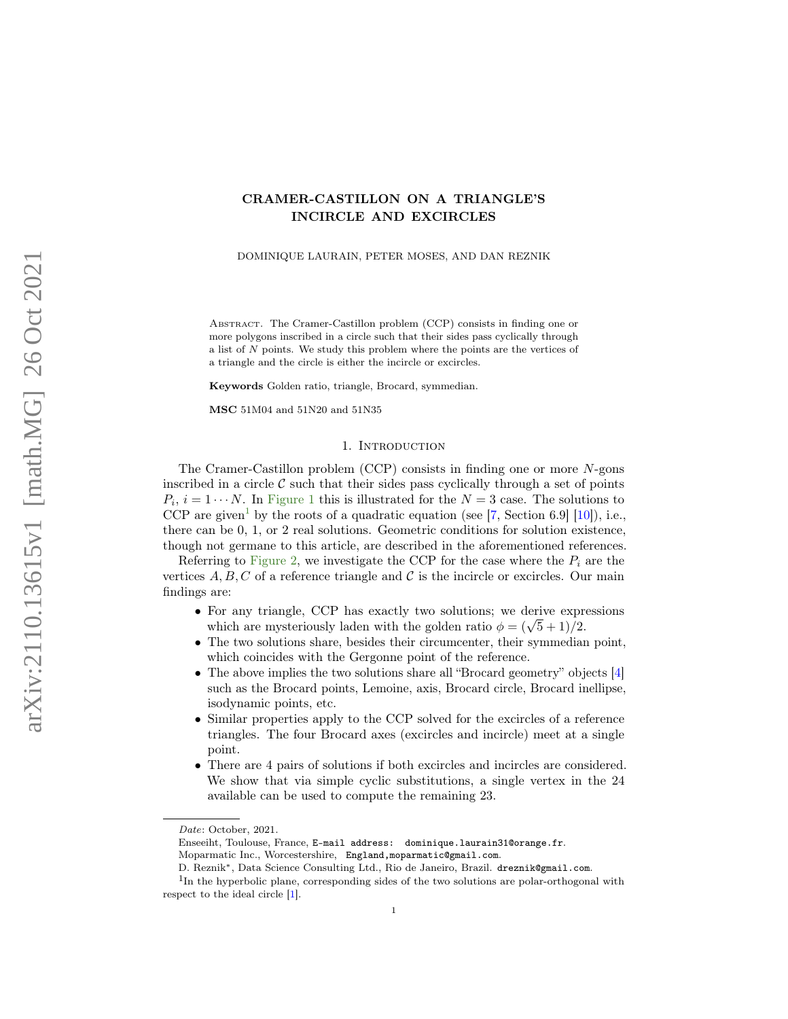# <span id="page-0-1"></span>CRAMER-CASTILLON ON A TRIANGLE'S INCIRCLE AND EXCIRCLES

DOMINIQUE LAURAIN, PETER MOSES, AND DAN REZNIK

Abstract. The Cramer-Castillon problem (CCP) consists in finding one or more polygons inscribed in a circle such that their sides pass cyclically through a list of N points. We study this problem where the points are the vertices of a triangle and the circle is either the incircle or excircles.

Keywords Golden ratio, triangle, Brocard, symmedian.

MSC 51M04 and 51N20 and 51N35

## 1. INTRODUCTION

The Cramer-Castillon problem (CCP) consists in finding one or more N-gons inscribed in a circle  $\mathcal C$  such that their sides pass cyclically through a set of points  $P_i$ ,  $i = 1 \cdots N$ . In [Figure 1](#page-1-0) this is illustrated for the  $N = 3$  case. The solutions to CCP are given<sup>[1](#page-0-0)</sup> by the roots of a quadratic equation (see [\[7,](#page-7-0) Section 6.9] [\[10\]](#page-7-1)), i.e., there can be 0, 1, or 2 real solutions. Geometric conditions for solution existence, though not germane to this article, are described in the aforementioned references.

Referring to [Figure 2,](#page-2-0) we investigate the CCP for the case where the  $P_i$  are the vertices  $A, B, C$  of a reference triangle and C is the incircle or excircles. Our main findings are:

- For any triangle, CCP has exactly two solutions; we derive expressions For any triangle, CCP has exactly two solutions; we derive express which are mysteriously laden with the golden ratio  $\phi = (\sqrt{5} + 1)/2$ .
- The two solutions share, besides their circumcenter, their symmedian point, which coincides with the Gergonne point of the reference.
- The above implies the two solutions share all "Brocard geometry" objects [\[4\]](#page-7-2) such as the Brocard points, Lemoine, axis, Brocard circle, Brocard inellipse, isodynamic points, etc.
- Similar properties apply to the CCP solved for the excircles of a reference triangles. The four Brocard axes (excircles and incircle) meet at a single point.
- There are 4 pairs of solutions if both excircles and incircles are considered. We show that via simple cyclic substitutions, a single vertex in the 24 available can be used to compute the remaining 23.

Date: October, 2021.

Enseeiht, Toulouse, France, E-mail address: dominique.laurain31@orange.fr. Moparmatic Inc., Worcestershire, England,moparmatic@gmail.com.

<span id="page-0-0"></span>D. Reznik∗, Data Science Consulting Ltd., Rio de Janeiro, Brazil. dreznik@gmail.com.

<sup>&</sup>lt;sup>1</sup>In the hyperbolic plane, corresponding sides of the two solutions are polar-orthogonal with respect to the ideal circle [\[1\]](#page-7-3).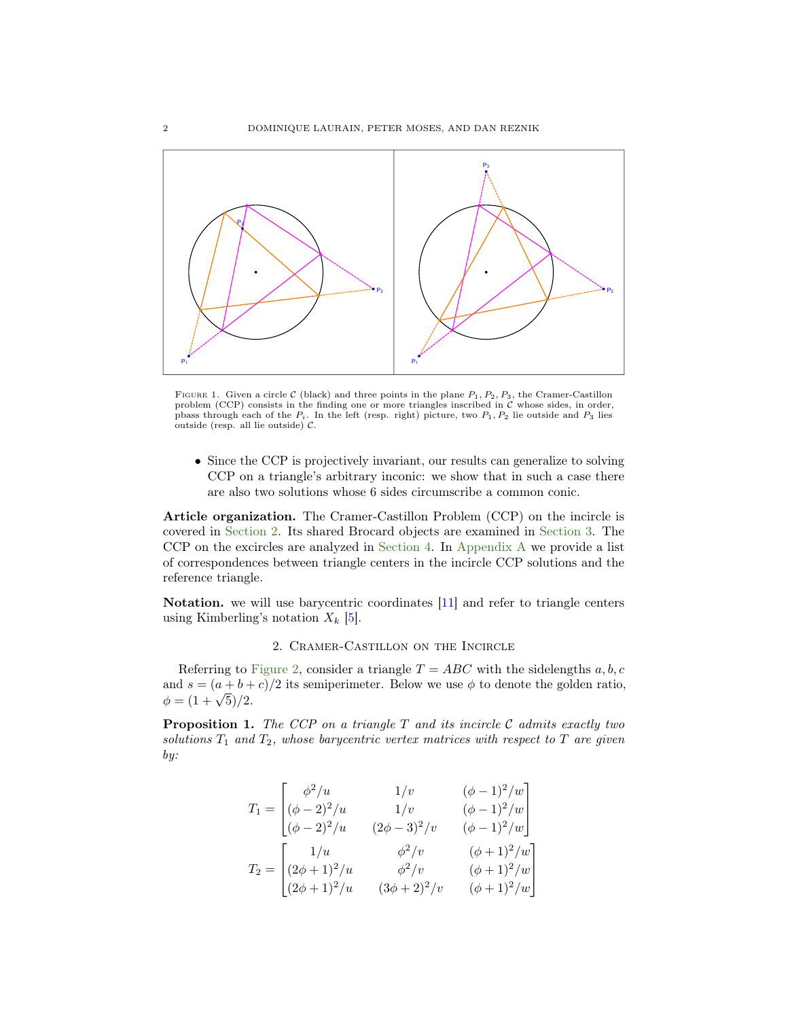<span id="page-1-3"></span><span id="page-1-0"></span>

FIGURE 1. Given a circle C (black) and three points in the plane  $P_1, P_2, P_3$ , the Cramer-Castillon problem (CCP) consists in the finding one or more triangles inscribed in C whose sides, in order, pbass through each of the  $P_i$ . In the left (resp. right) picture, two  $P_1, P_2$  lie outside and  $P_3$  lies outside (resp. all lie outside)  $C$ .

• Since the CCP is projectively invariant, our results can generalize to solving CCP on a triangle's arbitrary inconic: we show that in such a case there are also two solutions whose 6 sides circumscribe a common conic.

Article organization. The Cramer-Castillon Problem (CCP) on the incircle is covered in [Section 2.](#page-1-1) Its shared Brocard objects are examined in [Section 3.](#page-2-1) The CCP on the excircles are analyzed in [Section 4.](#page-4-0) In [Appendix A](#page-7-4) we provide a list of correspondences between triangle centers in the incircle CCP solutions and the reference triangle.

Notation. we will use barycentric coordinates [\[11\]](#page-7-5) and refer to triangle centers using Kimberling's notation  $X_k$  [\[5\]](#page-7-6).

# 2. Cramer-Castillon on the Incircle

<span id="page-1-1"></span>Referring to [Figure 2,](#page-2-0) consider a triangle  $T = ABC$  with the sidelengths  $a, b, c$ and  $s = (a + b + c)/2$  its semiperimeter. Below we use  $\phi$  to denote the golden ratio, and  $s = (a + b + b)$ <br>  $\phi = (1 + \sqrt{5})/2$ .

<span id="page-1-2"></span>**Proposition 1.** The CCP on a triangle  $T$  and its incircle  $C$  admits exactly two solutions  $T_1$  and  $T_2$ , whose barycentric vertex matrices with respect to  $T$  are given by:

$$
T_1 = \begin{bmatrix} \phi^2/u & 1/v & (\phi - 1)^2/w \\ (\phi - 2)^2/u & 1/v & (\phi - 1)^2/w \\ (\phi - 2)^2/u & (2\phi - 3)^2/v & (\phi - 1)^2/w \end{bmatrix}
$$

$$
T_2 = \begin{bmatrix} 1/u & \phi^2/v & (\phi + 1)^2/w \\ (2\phi + 1)^2/u & \phi^2/v & (\phi + 1)^2/w \\ (2\phi + 1)^2/u & (3\phi + 2)^2/v & (\phi + 1)^2/w \end{bmatrix}
$$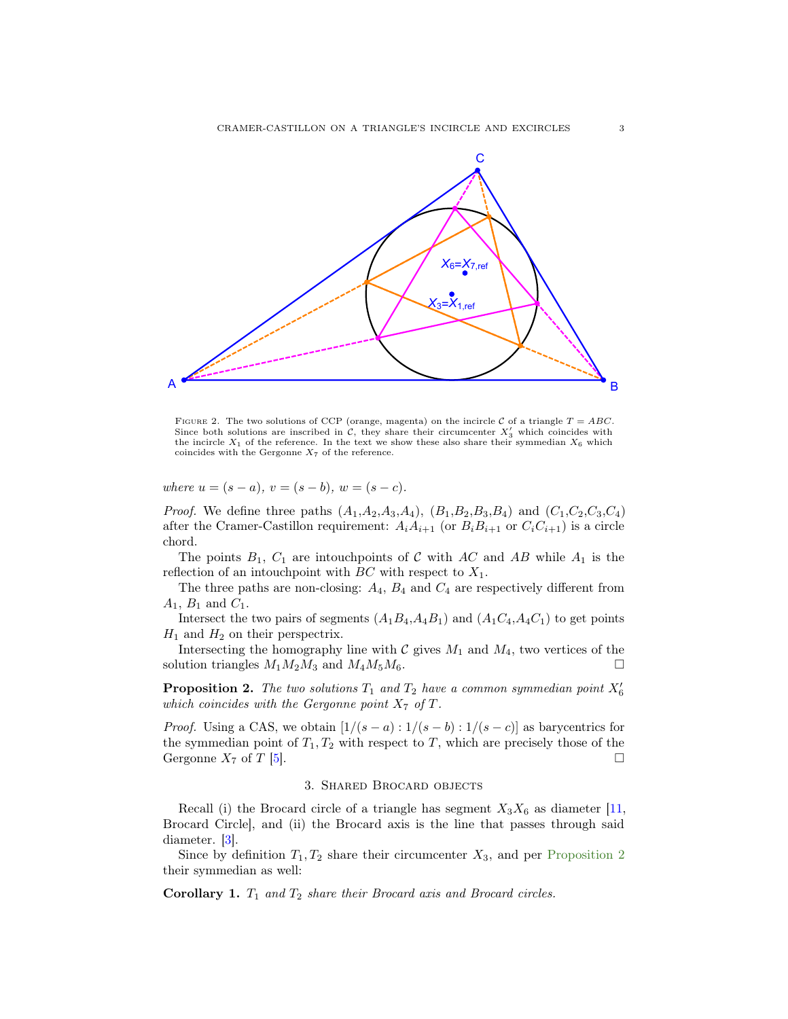<span id="page-2-3"></span><span id="page-2-0"></span>

FIGURE 2. The two solutions of CCP (orange, magenta) on the incircle C of a triangle  $T = ABC$ . Since both solutions are inscribed in  $\mathcal{C}$ , they share their circumcenter  $X'_3$  which coincides with the incircle  $X_1$  of the reference. In the text we show these also share their symmedian  $X_6$  which coincides with the Gergonne  $X_7$  of the reference.

where  $u = (s - a), v = (s - b), w = (s - c).$ 

*Proof.* We define three paths  $(A_1, A_2, A_3, A_4)$ ,  $(B_1, B_2, B_3, B_4)$  and  $(C_1, C_2, C_3, C_4)$ after the Cramer-Castillon requirement:  $A_iA_{i+1}$  (or  $B_iB_{i+1}$  or  $C_iC_{i+1}$ ) is a circle chord.

The points  $B_1$ ,  $C_1$  are intouch points of C with AC and AB while  $A_1$  is the reflection of an intouch point with  $BC$  with respect to  $X_1$ .

The three paths are non-closing:  $A_4$ ,  $B_4$  and  $C_4$  are respectively different from  $A_1, B_1$  and  $C_1$ .

Intersect the two pairs of segments  $(A_1B_4, A_4B_1)$  and  $(A_1C_4, A_4C_1)$  to get points  $H_1$  and  $H_2$  on their perspectrix.

Intersecting the homography line with  $\mathcal C$  gives  $M_1$  and  $M_4$ , two vertices of the solution triangles  $M_1M_2M_3$  and  $M_4M_5M_6$ .

<span id="page-2-2"></span>**Proposition 2.** The two solutions  $T_1$  and  $T_2$  have a common symmedian point  $X'_6$ which coincides with the Gergonne point  $X_7$  of T.

*Proof.* Using a CAS, we obtain  $[1/(s-a): 1/(s-b): 1/(s-c)]$  as barycentrics for the symmedian point of  $T_1, T_2$  with respect to T, which are precisely those of the Gergonne  $X_7$  of  $T$  [\[5\]](#page-7-6).

# 3. Shared Brocard objects

<span id="page-2-1"></span>Recall (i) the Brocard circle of a triangle has segment  $X_3X_6$  as diameter [\[11,](#page-7-5) Brocard Circle], and (ii) the Brocard axis is the line that passes through said diameter. [\[3\]](#page-7-7).

Since by definition  $T_1, T_2$  share their circumcenter  $X_3$ , and per [Proposition 2](#page-2-2) their symmedian as well:

Corollary 1.  $T_1$  and  $T_2$  share their Brocard axis and Brocard circles.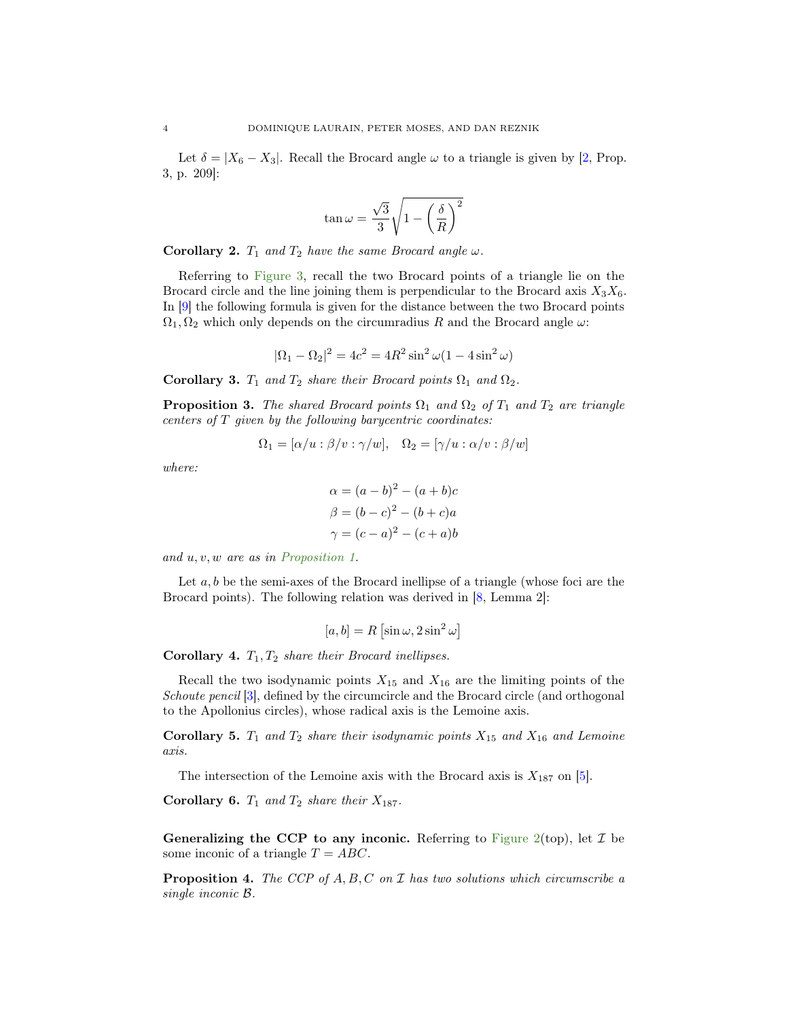<span id="page-3-1"></span>Let  $\delta = |X_6 - X_3|$ . Recall the Brocard angle  $\omega$  to a triangle is given by [\[2,](#page-7-8) Prop. 3, p. 209]:

$$
\tan \omega = \frac{\sqrt{3}}{3} \sqrt{1 - \left(\frac{\delta}{R}\right)^2}
$$

Corollary 2.  $T_1$  and  $T_2$  have the same Brocard angle  $\omega$ .

Referring to [Figure 3,](#page-4-1) recall the two Brocard points of a triangle lie on the Brocard circle and the line joining them is perpendicular to the Brocard axis  $X_3X_6$ . In [\[9\]](#page-7-9) the following formula is given for the distance between the two Brocard points  $\Omega_1, \Omega_2$  which only depends on the circumradius R and the Brocard angle  $\omega$ :

$$
|\Omega_1 - \Omega_2|^2 = 4c^2 = 4R^2 \sin^2 \omega (1 - 4\sin^2 \omega)
$$

Corollary 3.  $T_1$  and  $T_2$  share their Brocard points  $\Omega_1$  and  $\Omega_2$ .

**Proposition 3.** The shared Brocard points  $\Omega_1$  and  $\Omega_2$  of  $T_1$  and  $T_2$  are triangle centers of T given by the following barycentric coordinates:

$$
\Omega_1 = [\alpha/u : \beta/v : \gamma/w], \quad \Omega_2 = [\gamma/u : \alpha/v : \beta/w]
$$

where:

$$
\alpha = (a - b)^2 - (a + b)c
$$

$$
\beta = (b - c)^2 - (b + c)a
$$

$$
\gamma = (c - a)^2 - (c + a)b
$$

and u, v, w are as in [Proposition 1.](#page-1-2)

Let  $a, b$  be the semi-axes of the Brocard inellipse of a triangle (whose foci are the Brocard points). The following relation was derived in [\[8,](#page-7-10) Lemma 2]:

$$
[a, b] = R \left[ \sin \omega, 2 \sin^2 \omega \right]
$$

<span id="page-3-0"></span>Corollary 4.  $T_1, T_2$  share their Brocard inellipses.

Recall the two isodynamic points  $X_{15}$  and  $X_{16}$  are the limiting points of the Schoute pencil [\[3\]](#page-7-7), defined by the circumcircle and the Brocard circle (and orthogonal to the Apollonius circles), whose radical axis is the Lemoine axis.

**Corollary 5.**  $T_1$  and  $T_2$  share their isodynamic points  $X_{15}$  and  $X_{16}$  and Lemoine axis.

The intersection of the Lemoine axis with the Brocard axis is  $X_{187}$  on [\[5\]](#page-7-6).

Corollary 6.  $T_1$  and  $T_2$  share their  $X_{187}$ .

Generalizing the CCP to any inconic. Referring to [Figure 2\(](#page-2-0)top), let  $\mathcal I$  be some inconic of a triangle  $T = ABC$ .

**Proposition 4.** The CCP of  $A, B, C$  on  $\mathcal I$  has two solutions which circumscribe a single inconic B.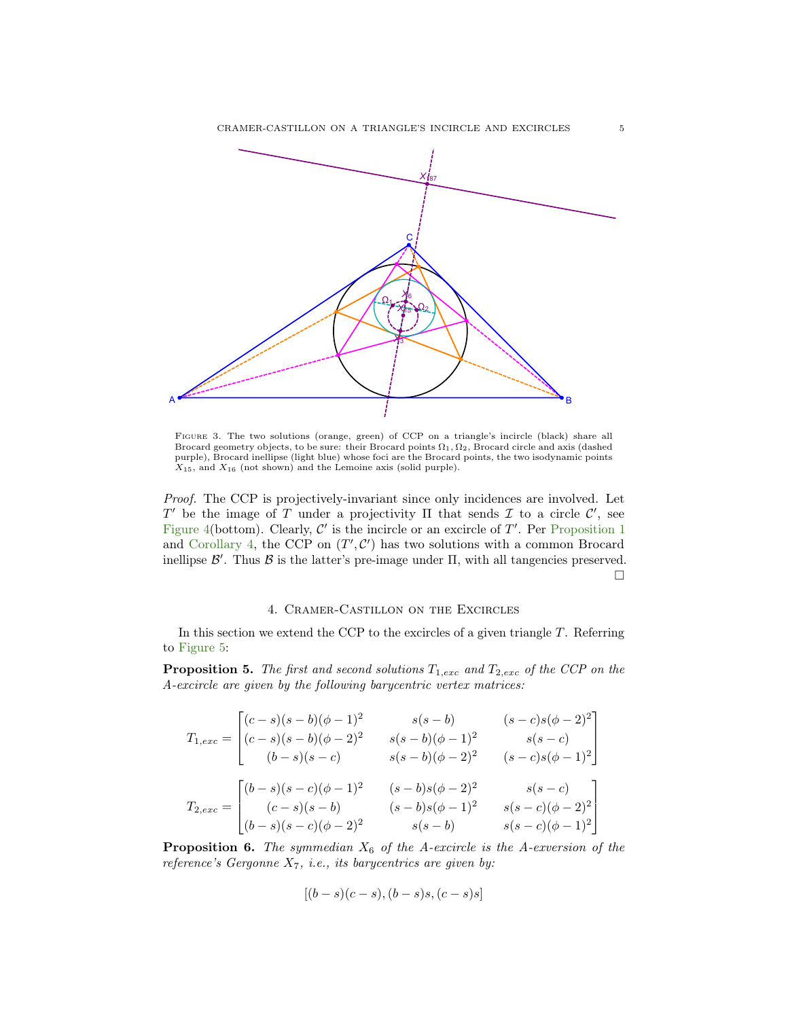<span id="page-4-1"></span>

Figure 3. The two solutions (orange, green) of CCP on a triangle's incircle (black) share all Brocard geometry objects, to be sure: their Brocard points  $\Omega_1, \Omega_2$ , Brocard circle and axis (dashed purple), Brocard inellipse (light blue) whose foci are the Brocard points, the two isodynamic points X15, and X<sup>16</sup> (not shown) and the Lemoine axis (solid purple).

Proof. The CCP is projectively-invariant since only incidences are involved. Let T' be the image of T under a projectivity  $\Pi$  that sends  $\mathcal I$  to a circle  $\mathcal C'$ , see [Figure 4\(](#page-5-0)bottom). Clearly,  $\mathcal{C}'$  is the incircle or an excircle of  $T'$ . Per [Proposition 1](#page-1-2) and [Corollary 4,](#page-3-0) the CCP on  $(T', \mathcal{C}')$  has two solutions with a common Brocard inellipse  $\mathcal{B}'$ . Thus  $\mathcal{B}$  is the latter's pre-image under  $\Pi$ , with all tangencies preserved.  $\Box$ 

# 4. Cramer-Castillon on the Excircles

<span id="page-4-0"></span>In this section we extend the CCP to the excircles of a given triangle  $T$ . Referring to [Figure 5:](#page-6-0)

**Proposition 5.** The first and second solutions  $T_{1,exc}$  and  $T_{2,exc}$  of the CCP on the A-excircle are given by the following barycentric vertex matrices:

$$
T_{1,exc} = \begin{bmatrix} (c-s)(s-b)(\phi-1)^2 & s(s-b) & (s-c)s(\phi-2)^2 \\ (c-s)(s-b)(\phi-2)^2 & s(s-b)(\phi-1)^2 & s(s-c) \\ (b-s)(s-c) & s(s-b)(\phi-2)^2 & (s-c)s(\phi-1)^2 \end{bmatrix}
$$

$$
T_{2,exc} = \begin{bmatrix} (b-s)(s-c)(\phi-1)^2 & (s-b)s(\phi-2)^2 & s(s-c) \\ (c-s)(s-b) & (s-b)s(\phi-1)^2 & s(s-c)(\phi-2)^2 \\ (b-s)(s-c)(\phi-2)^2 & s(s-b) & s(s-c)(\phi-1)^2 \end{bmatrix}
$$

**Proposition 6.** The symmedian  $X_6$  of the A-excircle is the A-exversion of the reference's Gergonne  $X_7$ , i.e., its barycentrics are given by:

$$
[(b-s)(c-s), (b-s)s, (c-s)s]
$$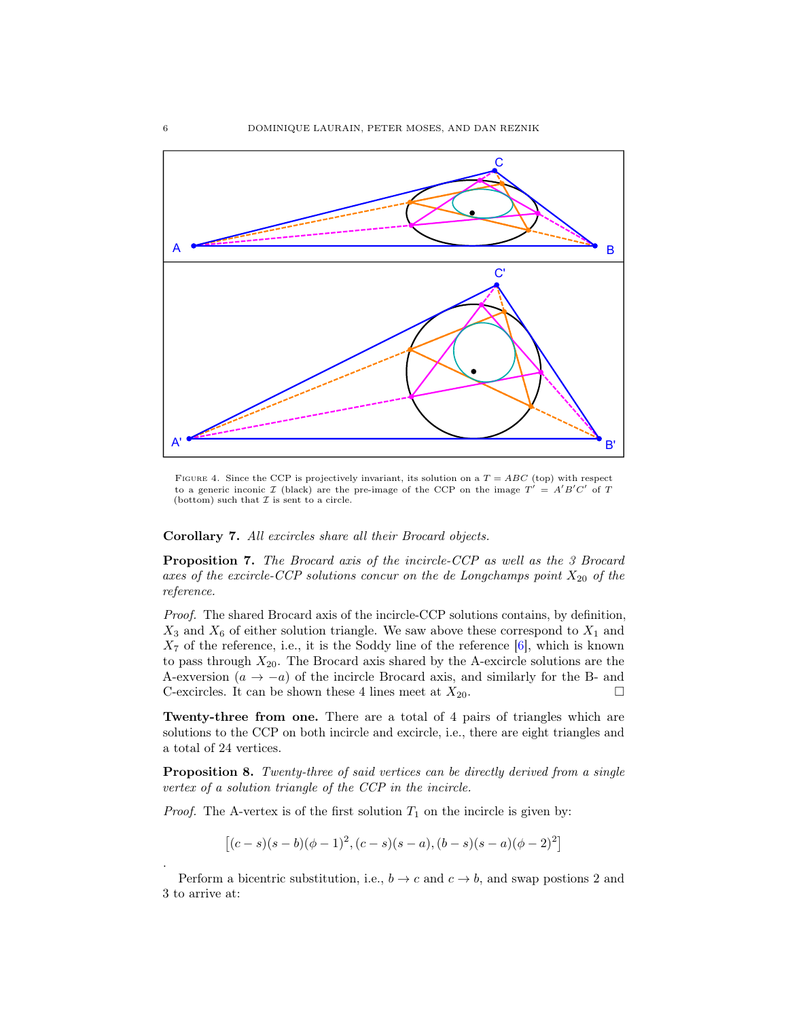<span id="page-5-1"></span><span id="page-5-0"></span>

FIGURE 4. Since the CCP is projectively invariant, its solution on a  $T = ABC$  (top) with respect to a generic inconic  $\mathcal I$  (black) are the pre-image of the CCP on the image  $T' = A'B'C'$  of T (bottom) such that  $\mathcal I$  is sent to a circle.

Corollary 7. All excircles share all their Brocard objects.

Proposition 7. The Brocard axis of the incircle-CCP as well as the 3 Brocard axes of the excircle-CCP solutions concur on the de Longchamps point  $X_{20}$  of the reference.

Proof. The shared Brocard axis of the incircle-CCP solutions contains, by definition,  $X_3$  and  $X_6$  of either solution triangle. We saw above these correspond to  $X_1$  and  $X_7$  of the reference, i.e., it is the Soddy line of the reference  $[6]$ , which is known to pass through  $X_{20}$ . The Brocard axis shared by the A-excircle solutions are the A-exversion  $(a \rightarrow -a)$  of the incircle Brocard axis, and similarly for the B- and C-excircles. It can be shown these 4 lines meet at  $X_{20}$ .

Twenty-three from one. There are a total of 4 pairs of triangles which are solutions to the CCP on both incircle and excircle, i.e., there are eight triangles and a total of 24 vertices.

Proposition 8. Twenty-three of said vertices can be directly derived from a single vertex of a solution triangle of the CCP in the incircle.

*Proof.* The A-vertex is of the first solution  $T_1$  on the incircle is given by:

 $[(c-s)(s-b)(\phi-1)^2, (c-s)(s-a), (b-s)(s-a)(\phi-2)^2]$ 

Perform a bicentric substitution, i.e.,  $b \to c$  and  $c \to b$ , and swap postions 2 and 3 to arrive at:

.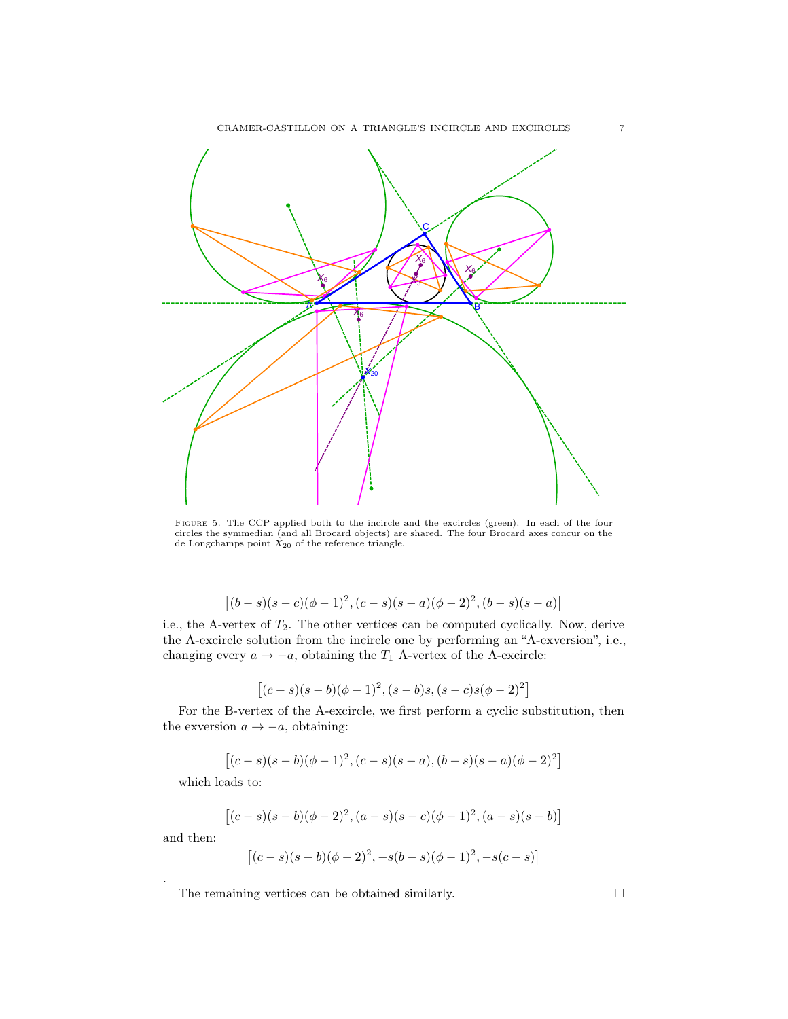<span id="page-6-0"></span>

Figure 5. The CCP applied both to the incircle and the excircles (green). In each of the four circles the symmedian (and all Brocard objects) are shared. The four Brocard axes concur on the de Longchamps point  $X_{20}$  of the reference triangle.

$$
[(b-s)(s-c)(\phi-1)^2, (c-s)(s-a)(\phi-2)^2, (b-s)(s-a)]
$$

i.e., the A-vertex of  $T_2$ . The other vertices can be computed cyclically. Now, derive the A-excircle solution from the incircle one by performing an "A-exversion", i.e., changing every  $a \to -a$ , obtaining the  $T_1$  A-vertex of the A-excircle:

$$
[(c-s)(s-b)(\phi-1)^2, (s-b)s, (s-c)s(\phi-2)^2]
$$

For the B-vertex of the A-excircle, we first perform a cyclic substitution, then the exversion  $a \rightarrow -a$ , obtaining:

$$
[(c-s)(s-b)(\phi-1)^2, (c-s)(s-a), (b-s)(s-a)(\phi-2)^2]
$$

which leads to:

$$
[(c-s)(s-b)(\phi-2)^2, (a-s)(s-c)(\phi-1)^2, (a-s)(s-b)]
$$

and then:

.

$$
[(c-s)(s-b)(\phi-2)^2, -s(b-s)(\phi-1)^2, -s(c-s)]
$$

The remaining vertices can be obtained similarly.